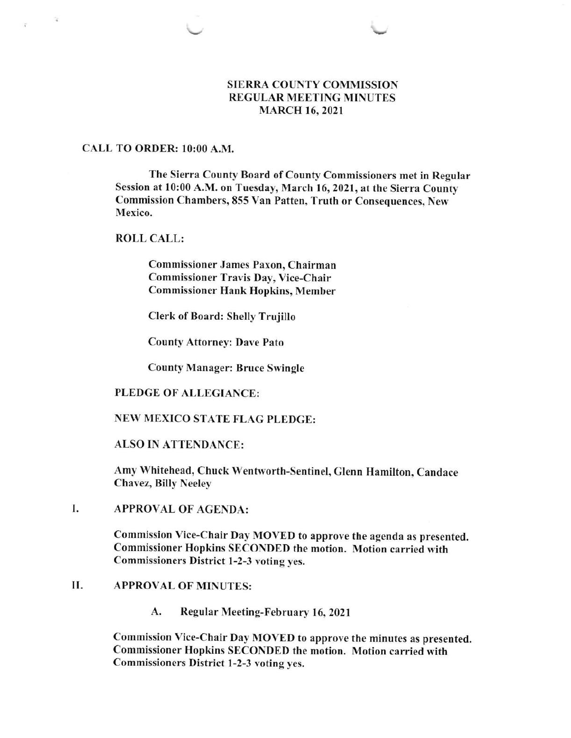## SIERRA COUNTY COMMISSION REGULAR MEETING MINUTES MARCH 16,2O2I

## CALL TO ORDER: 10:00 A.M.

The Sierra County Board of County Commissioners met in Regular Session at 10:00 A.M. on Tuesday, March 16, 2021, at the Sierra County Commission Chambers, 855 Van Patten, Truth or Consequences, New Mexico.

### ROLL CALL:

Commissioner James Paxon, Chairman Commissioner Travis Day, Vice-Chair Commissioner Hank Hopkins, Member

Clerk of Board: Shelly Trujillo

County Attorney: Dave Pato

County Manager: Bruce Swingle

## PLEDGE OF ALLEGIANCE:

## NEW MEXICO STATE FLAG PLEDGE:

## ALSO IN ATTENDANCE:

Amy Whitehead, Chuck Wentworth-Sentinel, Glenn Hamilton, Candace Chavez, Billy Neeley

#### I APPROVAL OF AGENDA:

Commission Vice-Chair Dav MOVED to approve the agenda as presented. Commissioner Hopkins SECONDED the motion. Motion carried with Commissioners District l-2-3 voting yes.

### II. APPROVAL OF MINUTES:

A. Regular Meeting-February 16, 2021

Commission Vice-Chair Day MOVED to approve the minutes as presented. Commissioner Hopkins SECONDED the motion. Motion carried with Commissioners District 1-2-3 voting yes.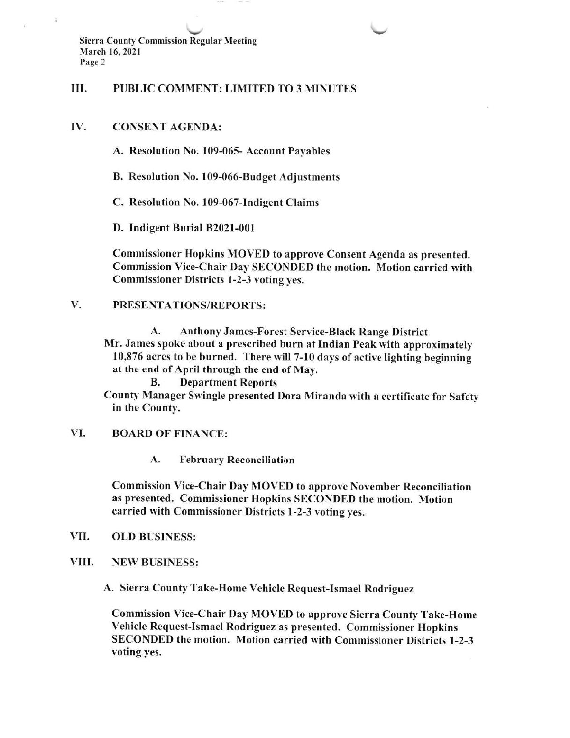$\downarrow$ Sierra County Commission Regular Meeting March 16, 2021 Page 2

#### III. PUBLIC COMMENT: LIMITED TO 3 MINUTES

#### IV. CONSENT AGENDA:

A. Resolution No. 109-065- Account Payables

B. Resolution No. 109-066-8udget Adjustments

C. Resolution No. 109-067-lndigent Claims

D. Indigent Burial 82021-001

Commissioner Hopkins MOVED to approve Consent Agenda as presented. Commission Vice-Chair Day SECONDED the motion. Motion carried with Commissioner Districts l-2-3 voting yes.

### V. PRESENTATIONS/REPORTS:

A. Anthony James-Forest Service-Black Range District Mr. James spoke about a prescribed burn at Indian Peak with approximately 10,876 acres to be burned. There will 7-10 days of active lighting beginning at the end of April through the end of May.

B. Department Reports

County Manager Swingle presented Dora Miranda with a certificate for Safety in the County.

## VI. BOARD OF FINANCE:

A. February Reconciliation

Commission Vice-Chair Day MOVED to approve November Reconciliation as presented. Commissioner Hopkins SECONDED the motion. Motion carried with Commissioner Districts 1-2-3 voting yes.

- OLD BUSINESS: VII
- VIII. NEW BUSINESS:

A. Sierra County Take-Home Vehicle Request-Ismael Rodriguez

Commission Vice-Chair Day MOVED to approve Sierra County Take-Home Vehicle Request-Ismael Rodriguez as presented. Commissioner Hopkins SECONDED the motion. Motion carried with Commissioner Districts 1-2-3 voting yes.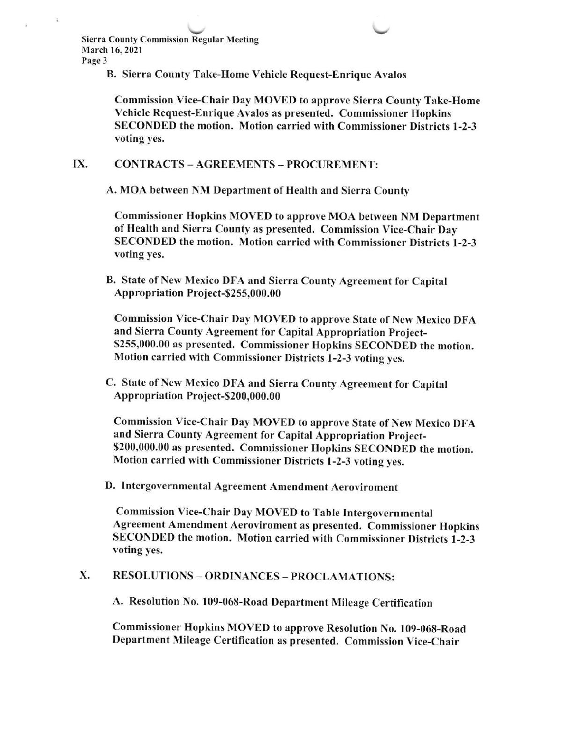\7 \7 Sierra County Commission Regular Meeting March 16,2021 Page 3

B. Sierra County Take-Home Vehicle Request-Enrique Ayalos

Commission Vice-Chair Day MOVED to approve Sierra County Take-Home Vehicle Request-Enrique Avalos as presented. Commissioner Hopkins SECONDED the motion. Motion carried with Commissioner Districts 1-2-3 voting yes.

#### IX. CONTRACTS - AGREEMENTS \_ PROCUREMENT:

A. MOA between NM Department of Health and Sierra County

Commissioner Hopkins MOVED to approve MOA befween NM Department of Health and Sierra County as presented. Commission Vice-Chair Day SECONDED the motion. Motion carried with Commissioner Districts 1-2-3 voting yes.

B. State of New Mexico DFA and Sierra County Agreement for Capital Appropriation Project-9255,000.00

Commission Vice-Chair Day MOVED to approve State of New Mexico DFA and Sierra County Agreement for Capital Appropriation Project-\$255,000.00 as presented. Commissioner Hopkins SECONDED the motion. Motion carried with Commissioner Districts 1-2-3 voting yes.

C. State of New Mexico DFA and Sierra County Agreement for Capital Appropriation Project-\$200,000.00

Commission Vice-Chair Day MOVED to approve State of New Mexico DFA and Sierra County Agreement for Capital Appropriation Project- \$200,000.00 as presented. Commissioner Hopkins SECONDED the motion. Motion carried with Commissioner Districts l-2-3 voting yes.

D. Intergovernmental Agreement Amendment Aeroviroment

Commission Vice-Chair Day MOVED to Table Intergovernmental Agreement Amendment Aeroviroment as presented. Commissioner Hopkins SECONDED the motion. Motion carried with Commissioner Districts l-2-3 voting yes.

## X. RESOLUTIONS - ORDINANCES - PROCLAMATIONS:

A. Resolution No. 109-068-Road Department Mileage Certification

Commissioner Hopkins MOVED to approve Resolution No. 109-068-Road Department Mileage Certification as presented. Commission Vice-Chair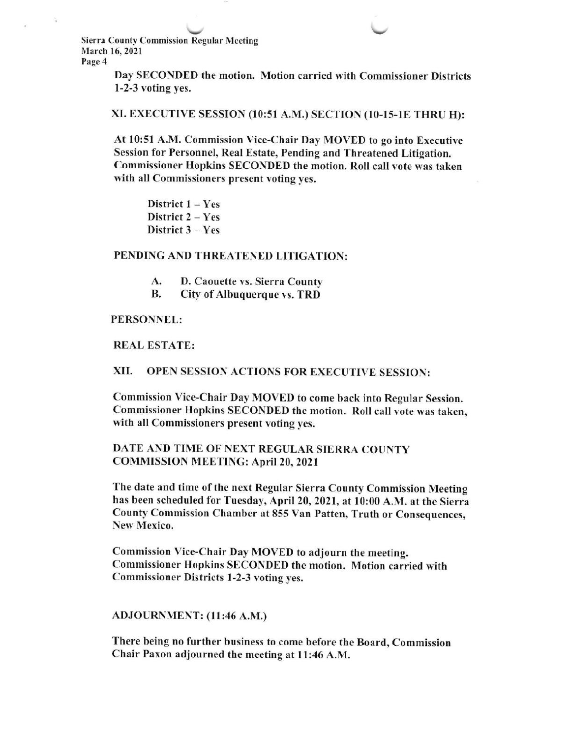$\sim$   $\sim$   $\sim$   $\sim$ Sierra County Commission Regular Meeting March 16, 2021 Page 4

> Day SECONDED the motion. Motion carried with Commissioner Districts l-2-3 voting yes.

#### XI. EXECUTIVE SESSION (10:51 A.M.) SECTION (10-15-lE THRU H):

At 10:51 A.M. Commission Vice-Chair Day MOVED to go into Executive Session for Personnel, Real Estate, Pending and Threatened Litigation. Commissioner Hopkins SECONDED the motion. Roll call vote was taken with all Commissioners present voting yes,

District  $1 - Yes$ District 2 - Yes District 3 – Yes

#### PENDING AND THREATENED LITIGATION:

- D. Caouette vs. Sierra County A.
- City of Albuquerque vs. TRD B.

#### PERSONNEL:

REAL ESTATE:

#### XII. OPEN SESSION ACTIONS FOR EXECUTIYE SESSION:

Commission Vice-Chair Day MOVED to come back into Regular Session. Commissioner Hopkins SECONDED the motion. Roll call vote was taken, with all Commissioners present voting yes.

## DATE AND TIME OF NEXT REGULAR SIERRA COUNTY COMMISSION MEETING: April 20,2021

The date and time of the next Regular Sierra County Commission Meeting has been scheduled for Tuesday, April 20, 2021, at l0:00 A.M. at the Sierra County Commission Chamber at 855 Van Patten, Truth or Consequences, New Mexico.

Commission Vice-Chair Day MOVED to adjourn the meeting. Commissioner Hopkins SECONDED the motion. Motion carried with Commissioner Districts l-2-3 voting yes.

#### ADJOURNMENT: (l I :46 A.M.)

There being no further business to come before the Board, Commission Chair Paxon adjourned the meeting at 1l:46 A.M.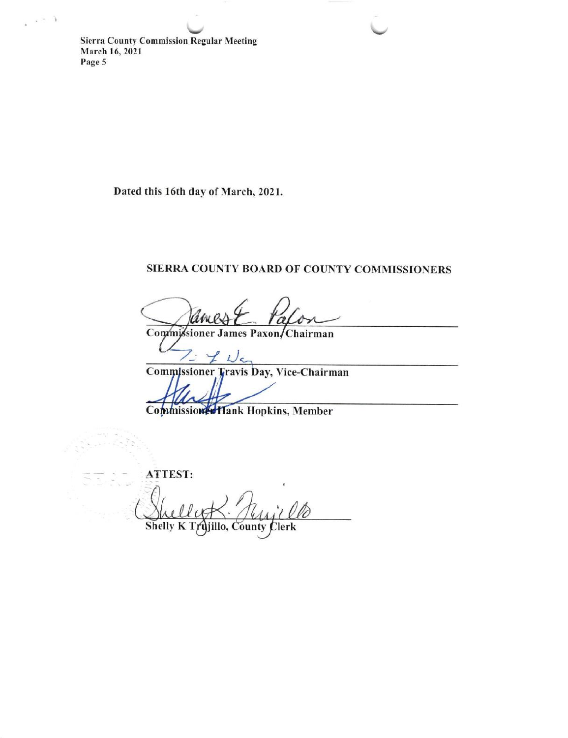**Sierra County Commission Regular Meeting** March 16, 2021 Page 5

 $\lambda = 3$ 

Dated this 16th day of March, 2021.

# SIERRA COUNTY BOARD OF COUNTY COMMISSIONERS

Commissioner James Paxon/Chairman

Commissioner Travis Day, Vice-Chairman

Commission Hank Hopkins, Member

ATTEST:

Shelly K jillo, County Clerk